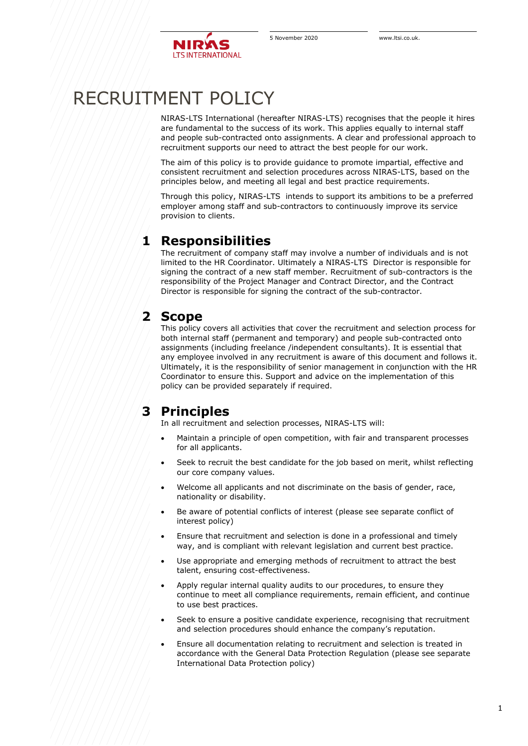

# RECRUITMENT POLICY

NIRAS-LTS International (hereafter NIRAS-LTS) recognises that the people it hires are fundamental to the success of its work. This applies equally to internal staff and people sub-contracted onto assignments. A clear and professional approach to recruitment supports our need to attract the best people for our work.

The aim of this policy is to provide guidance to promote impartial, effective and consistent recruitment and selection procedures across NIRAS-LTS, based on the principles below, and meeting all legal and best practice requirements.

Through this policy, NIRAS-LTS intends to support its ambitions to be a preferred employer among staff and sub-contractors to continuously improve its service provision to clients.

#### **1 Responsibilities**

The recruitment of company staff may involve a number of individuals and is not limited to the HR Coordinator. Ultimately a NIRAS-LTS Director is responsible for signing the contract of a new staff member. Recruitment of sub-contractors is the responsibility of the Project Manager and Contract Director, and the Contract Director is responsible for signing the contract of the sub-contractor.

#### **2 Scope**

This policy covers all activities that cover the recruitment and selection process for both internal staff (permanent and temporary) and people sub-contracted onto assignments (including freelance /independent consultants). It is essential that any employee involved in any recruitment is aware of this document and follows it. Ultimately, it is the responsibility of senior management in conjunction with the HR Coordinator to ensure this. Support and advice on the implementation of this policy can be provided separately if required.

## **3 Principles**

In all recruitment and selection processes, NIRAS-LTS will:

- Maintain a principle of open competition, with fair and transparent processes for all applicants.
- Seek to recruit the best candidate for the job based on merit, whilst reflecting our core company values.
- Welcome all applicants and not discriminate on the basis of gender, race, nationality or disability.
- Be aware of potential conflicts of interest (please see separate conflict of interest policy)
- Ensure that recruitment and selection is done in a professional and timely way, and is compliant with relevant legislation and current best practice.
- Use appropriate and emerging methods of recruitment to attract the best talent, ensuring cost-effectiveness.
- Apply regular internal quality audits to our procedures, to ensure they continue to meet all compliance requirements, remain efficient, and continue to use best practices.
- Seek to ensure a positive candidate experience, recognising that recruitment and selection procedures should enhance the company's reputation.
- Ensure all documentation relating to recruitment and selection is treated in accordance with the General Data Protection Regulation (please see separate International Data Protection policy)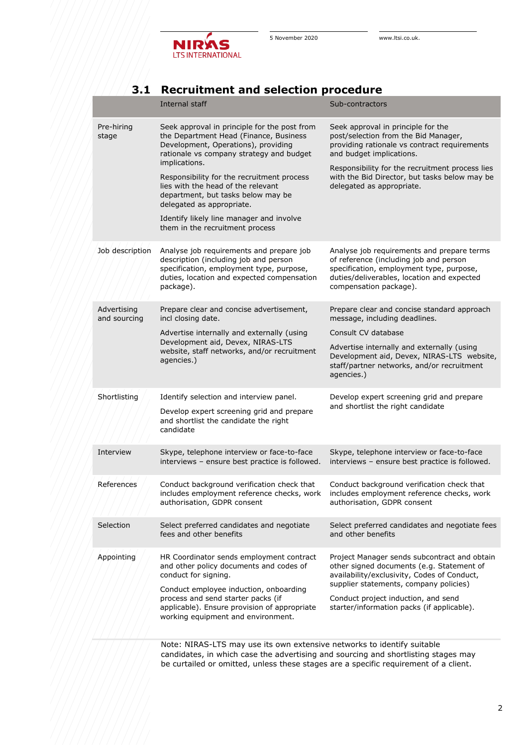

## **3.1 Recruitment and selection procedure**

|                             | Internal staff                                                                                                                                                                                                                                                                    | Sub-contractors                                                                                                                                                                                                                                                         |
|-----------------------------|-----------------------------------------------------------------------------------------------------------------------------------------------------------------------------------------------------------------------------------------------------------------------------------|-------------------------------------------------------------------------------------------------------------------------------------------------------------------------------------------------------------------------------------------------------------------------|
| Pre-hiring<br>stage         | Seek approval in principle for the post from<br>the Department Head (Finance, Business<br>Development, Operations), providing<br>rationale vs company strategy and budget<br>implications.                                                                                        | Seek approval in principle for the<br>post/selection from the Bid Manager,<br>providing rationale vs contract requirements<br>and budget implications.                                                                                                                  |
|                             | Responsibility for the recruitment process<br>lies with the head of the relevant<br>department, but tasks below may be<br>delegated as appropriate.                                                                                                                               | Responsibility for the recruitment process lies<br>with the Bid Director, but tasks below may be<br>delegated as appropriate.                                                                                                                                           |
|                             | Identify likely line manager and involve<br>them in the recruitment process                                                                                                                                                                                                       |                                                                                                                                                                                                                                                                         |
| Job description             | Analyse job requirements and prepare job<br>description (including job and person<br>specification, employment type, purpose,<br>duties, location and expected compensation<br>package).                                                                                          | Analyse job requirements and prepare terms<br>of reference (including job and person<br>specification, employment type, purpose,<br>duties/deliverables, location and expected<br>compensation package).                                                                |
| Advertising<br>and sourcing | Prepare clear and concise advertisement,<br>incl closing date.                                                                                                                                                                                                                    | Prepare clear and concise standard approach<br>message, including deadlines.                                                                                                                                                                                            |
|                             | Advertise internally and externally (using                                                                                                                                                                                                                                        | Consult CV database                                                                                                                                                                                                                                                     |
|                             | Development aid, Devex, NIRAS-LTS<br>website, staff networks, and/or recruitment<br>agencies.)                                                                                                                                                                                    | Advertise internally and externally (using<br>Development aid, Devex, NIRAS-LTS website,<br>staff/partner networks, and/or recruitment<br>agencies.)                                                                                                                    |
| Shortlisting                | Identify selection and interview panel.                                                                                                                                                                                                                                           | Develop expert screening grid and prepare                                                                                                                                                                                                                               |
|                             | Develop expert screening grid and prepare<br>and shortlist the candidate the right<br>candidate                                                                                                                                                                                   | and shortlist the right candidate                                                                                                                                                                                                                                       |
| Interview                   | Skype, telephone interview or face-to-face<br>interviews - ensure best practice is followed.                                                                                                                                                                                      | Skype, telephone interview or face-to-face<br>interviews - ensure best practice is followed.                                                                                                                                                                            |
| References                  | Conduct background verification check that<br>authorisation, GDPR consent                                                                                                                                                                                                         | Conduct background verification check that<br>includes employment reference checks, work includes employment reference checks, work<br>authorisation, GDPR consent                                                                                                      |
| Selection                   | Select preferred candidates and negotiate<br>fees and other benefits                                                                                                                                                                                                              | Select preferred candidates and negotiate fees<br>and other benefits                                                                                                                                                                                                    |
| Appointing                  | HR Coordinator sends employment contract<br>and other policy documents and codes of<br>conduct for signing.<br>Conduct employee induction, onboarding<br>process and send starter packs (if<br>applicable). Ensure provision of appropriate<br>working equipment and environment. | Project Manager sends subcontract and obtain<br>other signed documents (e.g. Statement of<br>availability/exclusivity, Codes of Conduct,<br>supplier statements, company policies)<br>Conduct project induction, and send<br>starter/information packs (if applicable). |

Note: NIRAS-LTS may use its own extensive networks to identify suitable candidates, in which case the advertising and sourcing and shortlisting stages may be curtailed or omitted, unless these stages are a specific requirement of a client.